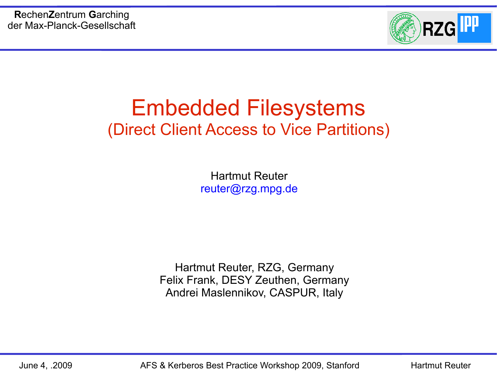

## Embedded Filesystems (Direct Client Access to Vice Partitions)

Hartmut Reuter reuter@rzg.mpg.de

Hartmut Reuter, RZG, Germany Felix Frank, DESY Zeuthen, Germany Andrei Maslennikov, CASPUR, Italy

June 4, .2009 AFS & Kerberos Best Practice Workshop 2009, Stanford Hartmut Reuter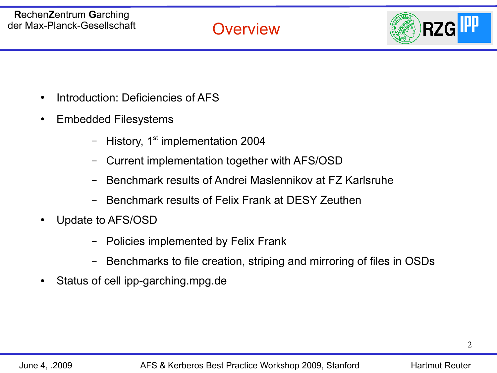**Overview** 



- Introduction: Deficiencies of AFS
- Embedded Filesystems
	- History,  $1<sup>st</sup>$  implementation 2004
	- Current implementation together with AFS/OSD
	- Benchmark results of Andrei Maslennikov at FZ Karlsruhe
	- Benchmark results of Felix Frank at DESY Zeuthen
- Update to AFS/OSD
	- Policies implemented by Felix Frank
	- Benchmarks to file creation, striping and mirroring of files in OSDs
- Status of cell ipp-garching.mpg.de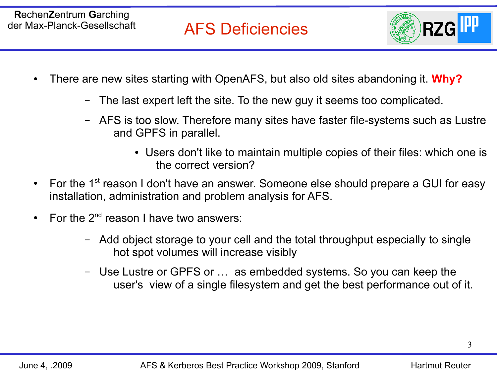

- There are new sites starting with OpenAFS, but also old sites abandoning it. **Why?**
	- The last expert left the site. To the new guy it seems too complicated.
	- AFS is too slow. Therefore many sites have faster file-systems such as Lustre and GPFS in parallel.
		- Users don't like to maintain multiple copies of their files: which one is the correct version?
- For the 1<sup>st</sup> reason I don't have an answer. Someone else should prepare a GUI for easy installation, administration and problem analysis for AFS.
- For the  $2^{nd}$  reason I have two answers:
	- Add object storage to your cell and the total throughput especially to single hot spot volumes will increase visibly
	- Use Lustre or GPFS or … as embedded systems. So you can keep the user's view of a single filesystem and get the best performance out of it.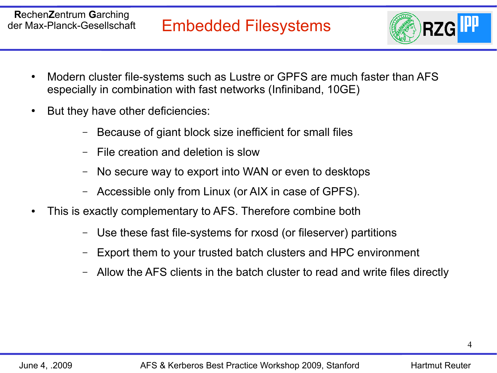

- Modern cluster file-systems such as Lustre or GPFS are much faster than AFS especially in combination with fast networks (Infiniband, 10GE)
- But they have other deficiencies:
	- Because of giant block size inefficient for small files
	- File creation and deletion is slow
	- No secure way to export into WAN or even to desktops
	- Accessible only from Linux (or AIX in case of GPFS).
- This is exactly complementary to AFS. Therefore combine both
	- Use these fast file-systems for rxosd (or fileserver) partitions
	- Export them to your trusted batch clusters and HPC environment
	- Allow the AFS clients in the batch cluster to read and write files directly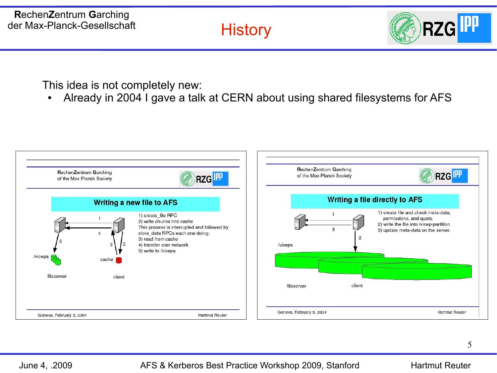## **History**



This idea is not completely new:

• Already in 2004 I gave a talk at CERN about using shared filesystems for AFS

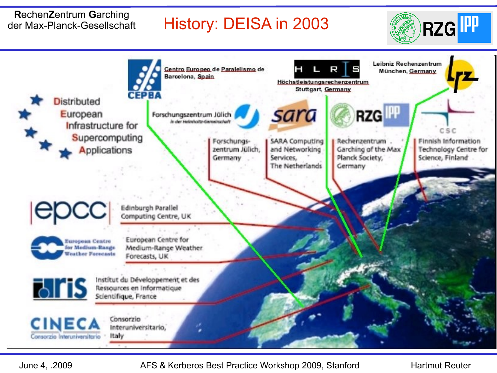## History: DEISA in 2003





June 4, .2009 AFS & Kerberos Best Practice Workshop 2009, Stanford Hartmut Reuter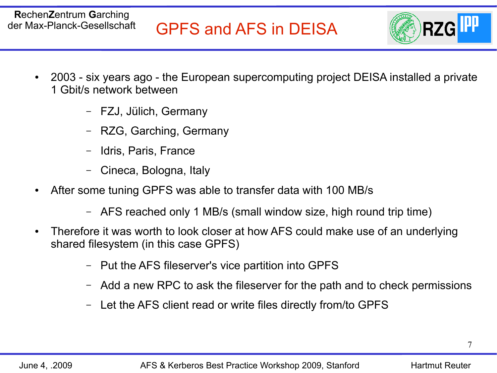

- 2003 six years ago the European supercomputing project DEISA installed a private 1 Gbit/s network between
	- FZJ, Jülich, Germany
	- RZG, Garching, Germany
	- Idris, Paris, France
	- Cineca, Bologna, Italy
- After some tuning GPFS was able to transfer data with 100 MB/s
	- AFS reached only 1 MB/s (small window size, high round trip time)
- Therefore it was worth to look closer at how AFS could make use of an underlying shared filesystem (in this case GPFS)
	- Put the AFS fileserver's vice partition into GPFS
	- Add a new RPC to ask the fileserver for the path and to check permissions
	- Let the AFS client read or write files directly from/to GPFS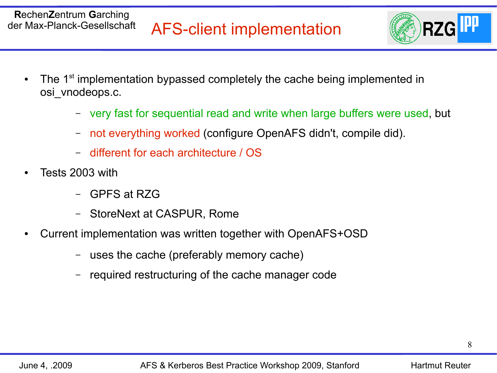

- The 1<sup>st</sup> implementation bypassed completely the cache being implemented in osi\_vnodeops.c.
	- very fast for sequential read and write when large buffers were used, but
	- not everything worked (configure OpenAFS didn't, compile did).
	- different for each architecture / OS
- Tests 2003 with
	- GPFS at RZG
	- StoreNext at CASPUR, Rome
- Current implementation was written together with OpenAFS+OSD
	- uses the cache (preferably memory cache)
	- required restructuring of the cache manager code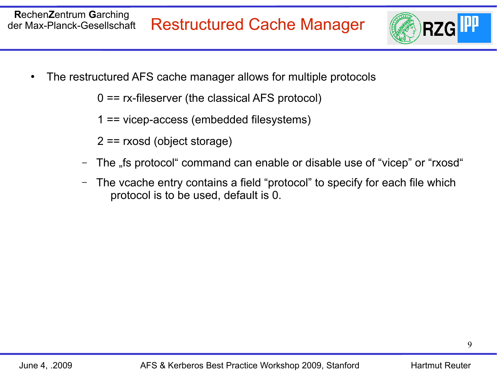

The restructured AFS cache manager allows for multiple protocols

0 == rx-fileserver (the classical AFS protocol)

1 == vicep-access (embedded filesystems)

2 == rxosd (object storage)

- The "fis protocol" command can enable or disable use of "vicep" or "rxosd"
- The vcache entry contains a field "protocol" to specify for each file which protocol is to be used, default is 0.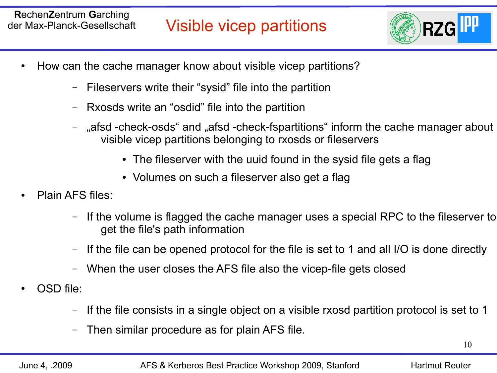

- How can the cache manager know about visible vicep partitions?
	- Fileservers write their "sysid" file into the partition
	- Rxosds write an "osdid" file into the partition
	- "afsd -check-osds" and "afsd -check-fspartitions" inform the cache manager about visible vicep partitions belonging to rxosds or fileservers
		- The fileserver with the uuid found in the sysid file gets a flag
		- Volumes on such a fileserver also get a flag
- Plain AFS files:
	- If the volume is flagged the cache manager uses a special RPC to the fileserver to get the file's path information
	- If the file can be opened protocol for the file is set to 1 and all I/O is done directly
	- When the user closes the AFS file also the vicep-file gets closed
- OSD file:
	- If the file consists in a single object on a visible rxosd partition protocol is set to 1
	- Then similar procedure as for plain AFS file.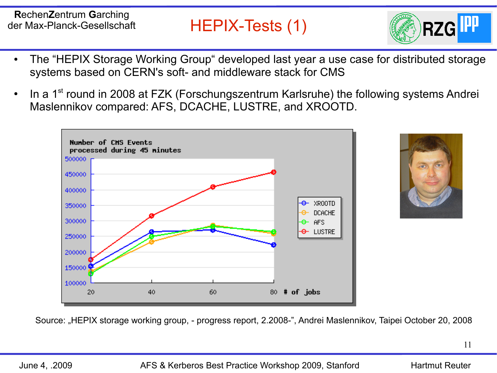HEPIX-Tests (1)

**RZG** 

- The "HEPIX Storage Working Group" developed last year a use case for distributed storage systems based on CERN's soft- and middleware stack for CMS
- In a 1<sup>st</sup> round in 2008 at FZK (Forschungszentrum Karlsruhe) the following systems Andrei Maslennikov compared: AFS, DCACHE, LUSTRE, and XROOTD.





Source: "HEPIX storage working group, - progress report, 2.2008-", Andrei Maslennikov, Taipei October 20, 2008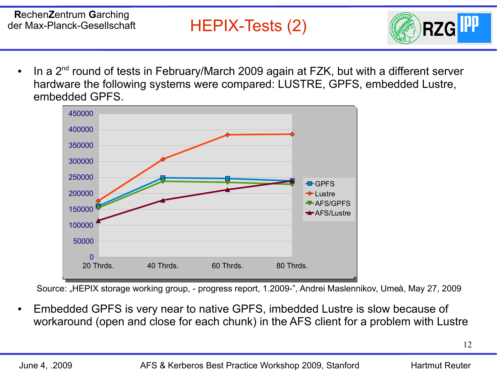

In a  $2<sup>nd</sup>$  round of tests in February/March 2009 again at FZK, but with a different server hardware the following systems were compared: LUSTRE, GPFS, embedded Lustre, embedded GPFS.



Source: "HEPIX storage working group, - progress report, 1.2009-", Andrei Maslennikov, Umeå, May 27, 2009

Embedded GPFS is very near to native GPFS, imbedded Lustre is slow because of workaround (open and close for each chunk) in the AFS client for a problem with Lustre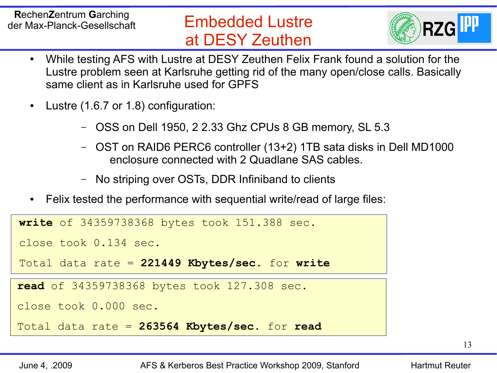## Embedded Lustre at DESY Zeuthen



- While testing AFS with Lustre at DESY Zeuthen Felix Frank found a solution for the Lustre problem seen at Karlsruhe getting rid of the many open/close calls. Basically same client as in Karlsruhe used for GPFS
- Lustre  $(1.6.7 \text{ or } 1.8)$  configuration:
	- OSS on Dell 1950, 2 2.33 Ghz CPUs 8 GB memory, SL 5.3
	- OST on RAID6 PERC6 controller (13+2) 1TB sata disks in Dell MD1000 enclosure connected with 2 Quadlane SAS cables.
	- No striping over OSTs, DDR Infiniband to clients
- Felix tested the performance with sequential write/read of large files:

**write** of 34359738368 bytes took 151.388 sec.

close took 0.134 sec.

Total data rate = **221449 Kbytes/sec**. for **write**

**read** of 34359738368 bytes took 127.308 sec.

close took 0.000 sec.

Total data rate = **263564 Kbytes/sec**. for **read**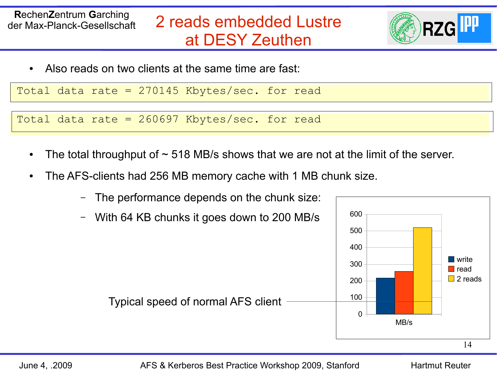

Also reads on two clients at the same time are fast:

Total data rate = 270145 Kbytes/sec. for read

Total data rate = 260697 Kbytes/sec. for read

- The total throughput of  $\sim$  518 MB/s shows that we are not at the limit of the server.
- The AFS-clients had 256 MB memory cache with 1 MB chunk size.
	- The performance depends on the chunk size:
	- With 64 KB chunks it goes down to 200 MB/s

Typical speed of normal AFS client

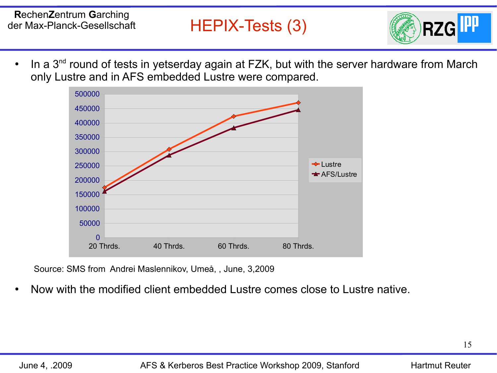

• In a 3<sup>nd</sup> round of tests in yetserday again at FZK, but with the server hardware from March only Lustre and in AFS embedded Lustre were compared.



Source: SMS from Andrei Maslennikov, Umeå, , June, 3,2009

Now with the modified client embedded Lustre comes close to Lustre native.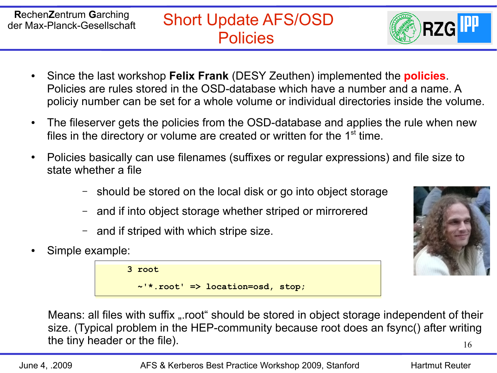

- Since the last workshop **Felix Frank** (DESY Zeuthen) implemented the **policies**. Policies are rules stored in the OSD-database which have a number and a name. A policiy number can be set for a whole volume or individual directories inside the volume.
- The fileserver gets the policies from the OSD-database and applies the rule when new files in the directory or volume are created or written for the  $1<sup>st</sup>$  time.
- Policies basically can use filenames (suffixes or regular expressions) and file size to state whether a file
	- should be stored on the local disk or go into object storage
	- and if into object storage whether striped or mirrorered
	- and if striped with which stripe size.
- Simple example:

 **3 root ~'\*.root' => location=osd, stop;**



16 Means: all files with suffix "root" should be stored in object storage independent of their size. (Typical problem in the HEP-community because root does an fsync() after writing the tiny header or the file).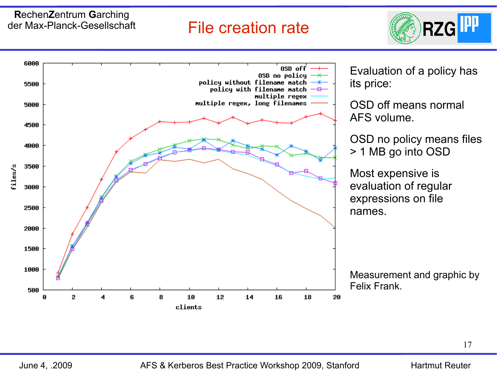### File creation rate



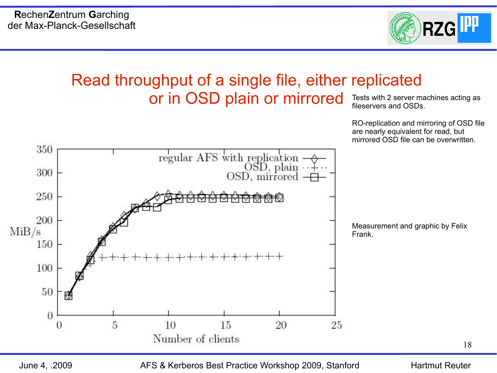

#### Read throughput of a single file, either replicated or in OSD plain or mirrored Tests with 2 server machines acting as fileservers and OSDs.

RO-replication and mirroring of OSD file are nearly equivalent for read, but mirrored OSD file can be overwritten.



June 4, .2009 AFS & Kerberos Best Practice Workshop 2009, Stanford Hartmut Reuter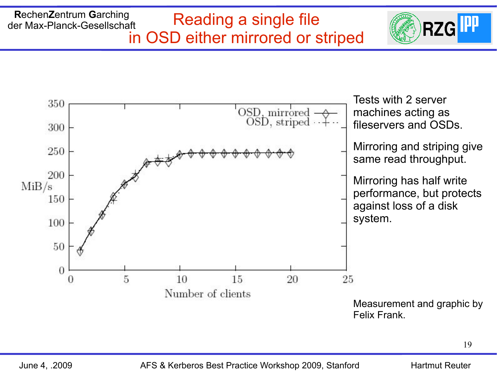#### **R**echen**Z**entrum **G**arching der Max-Planck-Gesellschaft Reading a single file in OSD either mirrored or striped



**RZGI**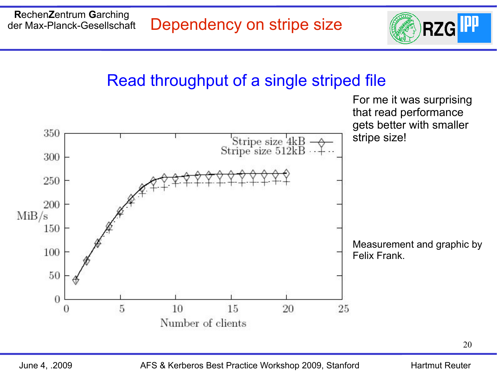

## Read throughput of a single striped file



June 4, .2009 AFS & Kerberos Best Practice Workshop 2009, Stanford Hartmut Reuter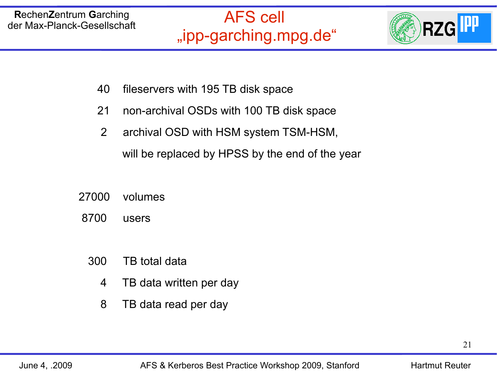

- 40 fileservers with 195 TB disk space
- 21 non-archival OSDs with 100 TB disk space
- 2 archival OSD with HSM system TSM-HSM, will be replaced by HPSS by the end of the year
- 27000 volumes
- 8700 users
	- 300 TB total data
		- 4 TB data written per day
		- 8 TB data read per day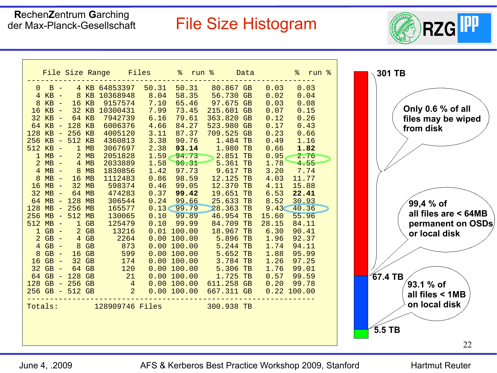## File Size Histogram



| 4 KB 64853397 50.31<br>50.31 80.867 GB 0.03 0.03<br>$0$ B $-$<br>8.04<br>8 KB 10368948<br>58.35<br>56.730 GB<br>0.02<br>0.04<br>$4$ KB $-$<br>9157574<br>7.10<br>65.46<br>0.03<br>$8 KB -$<br>$16$ $KB$<br>97.675 GB<br>0.08<br>7.99<br>32 KB 10300431<br>73.45<br>215.601 GB<br>0.07<br>0.15<br>$16$ KB $-$<br>6.16<br>79.61<br>363.820 GB<br>$32$ KB $-$<br>64 KB<br>7942739<br>0.12<br>0.26<br>4.66<br>64 KB - 128 KB<br>6006376<br>84.27<br>523.980 GB<br>0.17<br>0.43<br>3.11<br>87.37<br>709.525 GB<br>$128$ KB - $256$ KB<br>4005120<br>0.23<br>0.66<br>3.38<br>90.76<br>0.49<br>$256$ KB - $512$ KB<br>4360813<br>1.484 TB<br>1.16<br>1.980 TB<br>2.38<br>$1 \text{ MB}$<br>93.14<br>0.66<br>1.82<br>$512$ KB $-$<br>3067697<br>$\sum$ <sup>2.5</sup><br>$1.59 - 94.73$<br>$2 \text{ MB}$<br>$0.95 -$<br>$1$ MB $-$<br>2051828<br>2.76<br>1.58<br>1.78<br>2033889<br>96.31<br>$5.361 \text{ TB}$<br>$2 MB -$<br>$4 \text{ MB}$<br>4.55<br>97.73<br>3.20 7.74<br>1.42<br>$9.617$ TB<br>$4 MB -$<br>$8$ MB<br>1830856<br>0.86<br>98.59<br>12.125 TB<br>$8 MB -$<br>$16$ MB<br>1112483<br>4.03<br>11.77<br>$16 MB -$<br>32 MB<br>598374<br>0.46<br>99.05<br>12.370 TB<br>15.88<br>4.11<br>99.42<br>32<br>64 MB<br>474283<br>0.37<br>19.651 TB<br>6.53<br>22.41<br>$MB -$<br>0.24<br>99.66<br>30.93<br>$64$ MB $-$<br>128 MB<br>306544<br>25.633 TB<br>8.52<br>256 MB<br>0.13<<br>99.79<br>28.363 TB<br>$128$ MB $-$<br>165577<br>9.43<<br>40.36<br>0.10<br>99.89<br>46.954 TB<br>$256$ MB - $512$ MB<br>130065<br>15.60<br>55.96<br>99.99<br>125479<br>0.10<br>84.709 TB<br>$512$ MB $-$<br>$1$ GB<br>28.15<br>84.11<br>$2$ GB<br>18.967 TB<br>$1$ GB $-$<br>13216<br>$0.01$ 100.00<br>6.30<br>90.41<br>$2 GB -$<br>$4$ GB<br>2264<br>0.00100.00<br>5.896 TB<br>1.96<br>92.37<br>873<br>$4$ GB $-$<br>$8$ GB<br>0.00100.00<br>$5.244$ TB<br>1.74<br>94.11<br>599<br>5.652 TB<br>$8$ GB $-$<br>$16$ GB<br>0.00100.00<br>1.88<br>95.99<br>3.784 TB<br>$16$ GB $-$<br>32 GB<br>174<br>0.00100.00<br>1.26<br>97.25<br>64 GB<br>5.306 TB<br>120<br>$32$ GB $-$<br>0.00100.00<br>1.76<br>99.01<br>$32 GB - 64 GB$<br>$64 GB - 128 GB$<br>$128 GB - 256 GB$<br>$4256 GB - 512 GB$<br>2<br>1.725 TB<br>0.00100.00<br>0.57<br>99.59<br>611.258 GB<br>0.00100.00<br>0.20<br>99.78<br>0.00100.00<br>667.311 GB<br>$0.22$ 100.00<br>Totals: 128909746 Files 300.938 TB |  |
|-----------------------------------------------------------------------------------------------------------------------------------------------------------------------------------------------------------------------------------------------------------------------------------------------------------------------------------------------------------------------------------------------------------------------------------------------------------------------------------------------------------------------------------------------------------------------------------------------------------------------------------------------------------------------------------------------------------------------------------------------------------------------------------------------------------------------------------------------------------------------------------------------------------------------------------------------------------------------------------------------------------------------------------------------------------------------------------------------------------------------------------------------------------------------------------------------------------------------------------------------------------------------------------------------------------------------------------------------------------------------------------------------------------------------------------------------------------------------------------------------------------------------------------------------------------------------------------------------------------------------------------------------------------------------------------------------------------------------------------------------------------------------------------------------------------------------------------------------------------------------------------------------------------------------------------------------------------------------------------------------------------------------------------------------------------------------------------------------------------------------------------------------------------------------------------------------------------------------------------------------------------------------------------------------------------------------------------------------------------------|--|
|                                                                                                                                                                                                                                                                                                                                                                                                                                                                                                                                                                                                                                                                                                                                                                                                                                                                                                                                                                                                                                                                                                                                                                                                                                                                                                                                                                                                                                                                                                                                                                                                                                                                                                                                                                                                                                                                                                                                                                                                                                                                                                                                                                                                                                                                                                                                                                 |  |
|                                                                                                                                                                                                                                                                                                                                                                                                                                                                                                                                                                                                                                                                                                                                                                                                                                                                                                                                                                                                                                                                                                                                                                                                                                                                                                                                                                                                                                                                                                                                                                                                                                                                                                                                                                                                                                                                                                                                                                                                                                                                                                                                                                                                                                                                                                                                                                 |  |
|                                                                                                                                                                                                                                                                                                                                                                                                                                                                                                                                                                                                                                                                                                                                                                                                                                                                                                                                                                                                                                                                                                                                                                                                                                                                                                                                                                                                                                                                                                                                                                                                                                                                                                                                                                                                                                                                                                                                                                                                                                                                                                                                                                                                                                                                                                                                                                 |  |
|                                                                                                                                                                                                                                                                                                                                                                                                                                                                                                                                                                                                                                                                                                                                                                                                                                                                                                                                                                                                                                                                                                                                                                                                                                                                                                                                                                                                                                                                                                                                                                                                                                                                                                                                                                                                                                                                                                                                                                                                                                                                                                                                                                                                                                                                                                                                                                 |  |
|                                                                                                                                                                                                                                                                                                                                                                                                                                                                                                                                                                                                                                                                                                                                                                                                                                                                                                                                                                                                                                                                                                                                                                                                                                                                                                                                                                                                                                                                                                                                                                                                                                                                                                                                                                                                                                                                                                                                                                                                                                                                                                                                                                                                                                                                                                                                                                 |  |
|                                                                                                                                                                                                                                                                                                                                                                                                                                                                                                                                                                                                                                                                                                                                                                                                                                                                                                                                                                                                                                                                                                                                                                                                                                                                                                                                                                                                                                                                                                                                                                                                                                                                                                                                                                                                                                                                                                                                                                                                                                                                                                                                                                                                                                                                                                                                                                 |  |
|                                                                                                                                                                                                                                                                                                                                                                                                                                                                                                                                                                                                                                                                                                                                                                                                                                                                                                                                                                                                                                                                                                                                                                                                                                                                                                                                                                                                                                                                                                                                                                                                                                                                                                                                                                                                                                                                                                                                                                                                                                                                                                                                                                                                                                                                                                                                                                 |  |
|                                                                                                                                                                                                                                                                                                                                                                                                                                                                                                                                                                                                                                                                                                                                                                                                                                                                                                                                                                                                                                                                                                                                                                                                                                                                                                                                                                                                                                                                                                                                                                                                                                                                                                                                                                                                                                                                                                                                                                                                                                                                                                                                                                                                                                                                                                                                                                 |  |
|                                                                                                                                                                                                                                                                                                                                                                                                                                                                                                                                                                                                                                                                                                                                                                                                                                                                                                                                                                                                                                                                                                                                                                                                                                                                                                                                                                                                                                                                                                                                                                                                                                                                                                                                                                                                                                                                                                                                                                                                                                                                                                                                                                                                                                                                                                                                                                 |  |
|                                                                                                                                                                                                                                                                                                                                                                                                                                                                                                                                                                                                                                                                                                                                                                                                                                                                                                                                                                                                                                                                                                                                                                                                                                                                                                                                                                                                                                                                                                                                                                                                                                                                                                                                                                                                                                                                                                                                                                                                                                                                                                                                                                                                                                                                                                                                                                 |  |
|                                                                                                                                                                                                                                                                                                                                                                                                                                                                                                                                                                                                                                                                                                                                                                                                                                                                                                                                                                                                                                                                                                                                                                                                                                                                                                                                                                                                                                                                                                                                                                                                                                                                                                                                                                                                                                                                                                                                                                                                                                                                                                                                                                                                                                                                                                                                                                 |  |
|                                                                                                                                                                                                                                                                                                                                                                                                                                                                                                                                                                                                                                                                                                                                                                                                                                                                                                                                                                                                                                                                                                                                                                                                                                                                                                                                                                                                                                                                                                                                                                                                                                                                                                                                                                                                                                                                                                                                                                                                                                                                                                                                                                                                                                                                                                                                                                 |  |
|                                                                                                                                                                                                                                                                                                                                                                                                                                                                                                                                                                                                                                                                                                                                                                                                                                                                                                                                                                                                                                                                                                                                                                                                                                                                                                                                                                                                                                                                                                                                                                                                                                                                                                                                                                                                                                                                                                                                                                                                                                                                                                                                                                                                                                                                                                                                                                 |  |
|                                                                                                                                                                                                                                                                                                                                                                                                                                                                                                                                                                                                                                                                                                                                                                                                                                                                                                                                                                                                                                                                                                                                                                                                                                                                                                                                                                                                                                                                                                                                                                                                                                                                                                                                                                                                                                                                                                                                                                                                                                                                                                                                                                                                                                                                                                                                                                 |  |
|                                                                                                                                                                                                                                                                                                                                                                                                                                                                                                                                                                                                                                                                                                                                                                                                                                                                                                                                                                                                                                                                                                                                                                                                                                                                                                                                                                                                                                                                                                                                                                                                                                                                                                                                                                                                                                                                                                                                                                                                                                                                                                                                                                                                                                                                                                                                                                 |  |
|                                                                                                                                                                                                                                                                                                                                                                                                                                                                                                                                                                                                                                                                                                                                                                                                                                                                                                                                                                                                                                                                                                                                                                                                                                                                                                                                                                                                                                                                                                                                                                                                                                                                                                                                                                                                                                                                                                                                                                                                                                                                                                                                                                                                                                                                                                                                                                 |  |
|                                                                                                                                                                                                                                                                                                                                                                                                                                                                                                                                                                                                                                                                                                                                                                                                                                                                                                                                                                                                                                                                                                                                                                                                                                                                                                                                                                                                                                                                                                                                                                                                                                                                                                                                                                                                                                                                                                                                                                                                                                                                                                                                                                                                                                                                                                                                                                 |  |
|                                                                                                                                                                                                                                                                                                                                                                                                                                                                                                                                                                                                                                                                                                                                                                                                                                                                                                                                                                                                                                                                                                                                                                                                                                                                                                                                                                                                                                                                                                                                                                                                                                                                                                                                                                                                                                                                                                                                                                                                                                                                                                                                                                                                                                                                                                                                                                 |  |
|                                                                                                                                                                                                                                                                                                                                                                                                                                                                                                                                                                                                                                                                                                                                                                                                                                                                                                                                                                                                                                                                                                                                                                                                                                                                                                                                                                                                                                                                                                                                                                                                                                                                                                                                                                                                                                                                                                                                                                                                                                                                                                                                                                                                                                                                                                                                                                 |  |
|                                                                                                                                                                                                                                                                                                                                                                                                                                                                                                                                                                                                                                                                                                                                                                                                                                                                                                                                                                                                                                                                                                                                                                                                                                                                                                                                                                                                                                                                                                                                                                                                                                                                                                                                                                                                                                                                                                                                                                                                                                                                                                                                                                                                                                                                                                                                                                 |  |
|                                                                                                                                                                                                                                                                                                                                                                                                                                                                                                                                                                                                                                                                                                                                                                                                                                                                                                                                                                                                                                                                                                                                                                                                                                                                                                                                                                                                                                                                                                                                                                                                                                                                                                                                                                                                                                                                                                                                                                                                                                                                                                                                                                                                                                                                                                                                                                 |  |
|                                                                                                                                                                                                                                                                                                                                                                                                                                                                                                                                                                                                                                                                                                                                                                                                                                                                                                                                                                                                                                                                                                                                                                                                                                                                                                                                                                                                                                                                                                                                                                                                                                                                                                                                                                                                                                                                                                                                                                                                                                                                                                                                                                                                                                                                                                                                                                 |  |
|                                                                                                                                                                                                                                                                                                                                                                                                                                                                                                                                                                                                                                                                                                                                                                                                                                                                                                                                                                                                                                                                                                                                                                                                                                                                                                                                                                                                                                                                                                                                                                                                                                                                                                                                                                                                                                                                                                                                                                                                                                                                                                                                                                                                                                                                                                                                                                 |  |
|                                                                                                                                                                                                                                                                                                                                                                                                                                                                                                                                                                                                                                                                                                                                                                                                                                                                                                                                                                                                                                                                                                                                                                                                                                                                                                                                                                                                                                                                                                                                                                                                                                                                                                                                                                                                                                                                                                                                                                                                                                                                                                                                                                                                                                                                                                                                                                 |  |
|                                                                                                                                                                                                                                                                                                                                                                                                                                                                                                                                                                                                                                                                                                                                                                                                                                                                                                                                                                                                                                                                                                                                                                                                                                                                                                                                                                                                                                                                                                                                                                                                                                                                                                                                                                                                                                                                                                                                                                                                                                                                                                                                                                                                                                                                                                                                                                 |  |
|                                                                                                                                                                                                                                                                                                                                                                                                                                                                                                                                                                                                                                                                                                                                                                                                                                                                                                                                                                                                                                                                                                                                                                                                                                                                                                                                                                                                                                                                                                                                                                                                                                                                                                                                                                                                                                                                                                                                                                                                                                                                                                                                                                                                                                                                                                                                                                 |  |
|                                                                                                                                                                                                                                                                                                                                                                                                                                                                                                                                                                                                                                                                                                                                                                                                                                                                                                                                                                                                                                                                                                                                                                                                                                                                                                                                                                                                                                                                                                                                                                                                                                                                                                                                                                                                                                                                                                                                                                                                                                                                                                                                                                                                                                                                                                                                                                 |  |
|                                                                                                                                                                                                                                                                                                                                                                                                                                                                                                                                                                                                                                                                                                                                                                                                                                                                                                                                                                                                                                                                                                                                                                                                                                                                                                                                                                                                                                                                                                                                                                                                                                                                                                                                                                                                                                                                                                                                                                                                                                                                                                                                                                                                                                                                                                                                                                 |  |
|                                                                                                                                                                                                                                                                                                                                                                                                                                                                                                                                                                                                                                                                                                                                                                                                                                                                                                                                                                                                                                                                                                                                                                                                                                                                                                                                                                                                                                                                                                                                                                                                                                                                                                                                                                                                                                                                                                                                                                                                                                                                                                                                                                                                                                                                                                                                                                 |  |

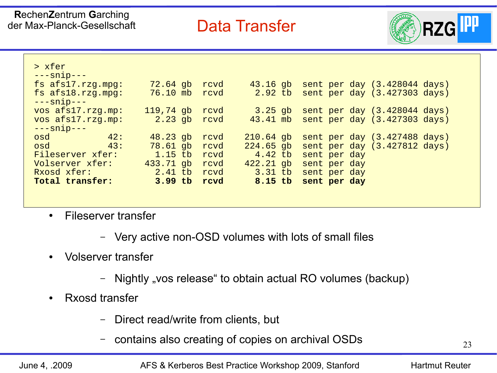### Data Transfer



| > xfer                                   |               |      |             |                              |
|------------------------------------------|---------------|------|-------------|------------------------------|
| $---snip---$<br>fs $afs17.rzg.mpg:$      | $72.64$ gb    | rcvd | $43.16$ gb  | sent per day (3.428044 days) |
| $fs$ afs $18.rzq$ . mpq:<br>$---snip---$ | 76.10 mb rcvd |      | $2.92$ tb   | sent per day (3.427303 days) |
| vos afs17.rzq.mp:                        | $119,74$ gb   | rcvd | $3.25$ qb   | sent per day (3.428044 days) |
| vos afs17.rzq.mp:                        | 2.23 gb rcvd  |      | $43.41$ mb  | sent per day (3.427303 days) |
| $---snip---$                             |               |      |             |                              |
| 42:<br>osd                               | $48.23$ gb    | rcvd | $210.64$ gb | sent per day (3.427488 days) |
| 43:<br>osd                               | 78.61 gb rcvd |      | $224.65$ gb | sent per day (3.427812 days) |
| Fileserver xfer:                         | 1.15 tb revd  |      | $4.42$ tb   | sent per day                 |
| Volserver xfer:                          | 433.71 gb     | rcvd | $422.21$ gb | sent per day                 |
| Rxosd xfer:                              | 2.41 tb rcvd  |      | $3.31$ tb   | sent per day                 |
| Total transfer:                          | $3.99$ tb     | rcvd | 8.15 tb     | sent per day                 |

- Fileserver transfer
	- Very active non-OSD volumes with lots of small files
- Volserver transfer
	- Nightly "vos release" to obtain actual RO volumes (backup)
- Rxosd transfer
	- Direct read/write from clients, but
	- contains also creating of copies on archival OSDs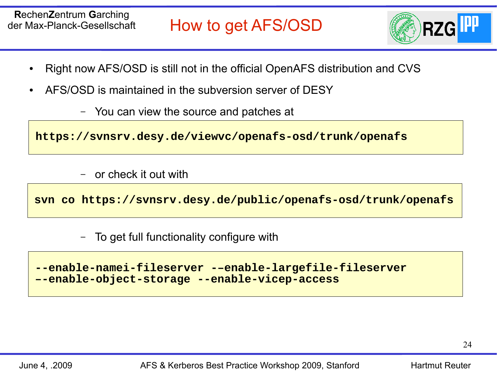

- Right now AFS/OSD is still not in the official OpenAFS distribution and CVS
- AFS/OSD is maintained in the subversion server of DESY
	- You can view the source and patches at

**https://svnsrv.desy.de/viewvc/openafs-osd/trunk/openafs**

– or check it out with

**svn co https://svnsrv.desy.de/public/openafs-osd/trunk/openafs**

– To get full functionality configure with

```
--enable-namei-fileserver -–enable-largefile-fileserver 
 –-enable-object-storage --enable-vicep-access
```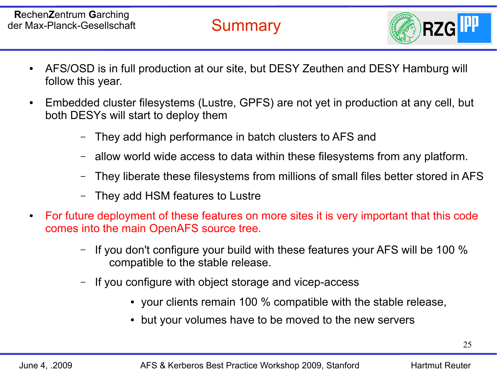**Summary** 



- AFS/OSD is in full production at our site, but DESY Zeuthen and DESY Hamburg will follow this year.
- Embedded cluster filesystems (Lustre, GPFS) are not yet in production at any cell, but both DESYs will start to deploy them
	- They add high performance in batch clusters to AFS and
	- allow world wide access to data within these filesystems from any platform.
	- They liberate these filesystems from millions of small files better stored in AFS
	- They add HSM features to Lustre
- For future deployment of these features on more sites it is very important that this code comes into the main OpenAFS source tree.
	- If you don't configure your build with these features your AFS will be 100 % compatible to the stable release.
	- If you configure with object storage and vicep-access
		- your clients remain 100 % compatible with the stable release,
		- but your volumes have to be moved to the new servers